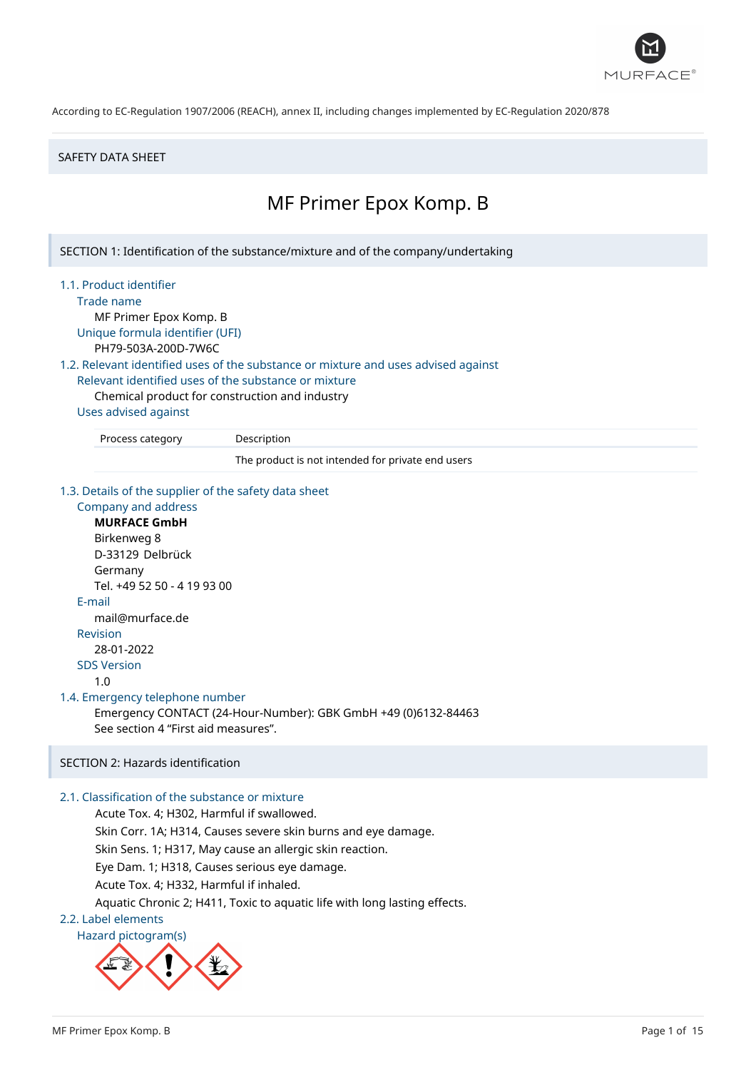

#### SAFETY DATA SHEET

# MF Primer Epox Komp. B

SECTION 1: Identification of the substance/mixture and of the company/undertaking

1.1. Product identifier

Trade name

MF Primer Epox Komp. B Unique formula identifier (UFI)

PH79-503A-200D-7W6C

1.2. Relevant identified uses of the substance or mixture and uses advised against

Relevant identified uses of the substance or mixture

Chemical product for construction and industry

### Uses advised against

Process category Description

The product is not intended for private end users

1.3. Details of the supplier of the safety data sheet

# Company and address **MURFACE GmbH** Birkenweg 8 D-33129 Delbrück Germany Tel. +49 52 50 - 4 19 93 00 E-mail mail@murface.de Revision 28-01-2022 SDS Version 1.0 1.4. Emergency telephone number Emergency CONTACT (24-Hour-Number): GBK GmbH +49 (0)6132-84463 See section 4 "First aid measures".

# SECTION 2: Hazards identification

# 2.1. Classification of the substance or mixture

Acute Tox. 4; H302, Harmful if swallowed. Skin Corr. 1A; H314, Causes severe skin burns and eye damage. Skin Sens. 1; H317, May cause an allergic skin reaction. Eye Dam. 1; H318, Causes serious eye damage. Acute Tox. 4; H332, Harmful if inhaled. Aquatic Chronic 2; H411, Toxic to aquatic life with long lasting effects.

#### 2.2. Label elements

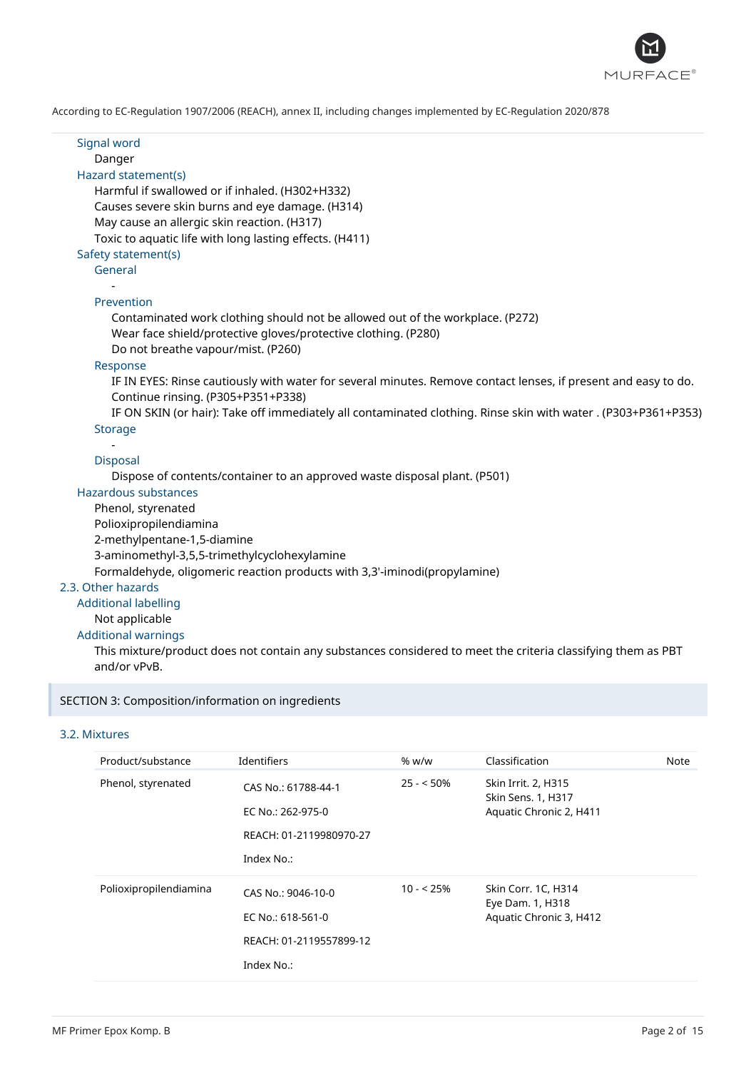

Signal word Danger Hazard statement(s) Harmful if swallowed or if inhaled. (H302+H332) Causes severe skin burns and eye damage. (H314) May cause an allergic skin reaction. (H317)

Toxic to aquatic life with long lasting effects. (H411)

# Safety statement(s)

General -

#### Prevention

Contaminated work clothing should not be allowed out of the workplace. (P272) Wear face shield/protective gloves/protective clothing. (P280) Do not breathe vapour/mist. (P260)

#### Response

IF IN EYES: Rinse cautiously with water for several minutes. Remove contact lenses, if present and easy to do. Continue rinsing. (P305+P351+P338)

IF ON SKIN (or hair): Take off immediately all contaminated clothing. Rinse skin with water . (P303+P361+P353) **Storage** 

# -

#### Disposal

Dispose of contents/container to an approved waste disposal plant. (P501)

# Hazardous substances

Phenol, styrenated

Polioxipropilendiamina

2-methylpentane-1,5-diamine

3-aminomethyl-3,5,5-trimethylcyclohexylamine

Formaldehyde, oligomeric reaction products with 3,3'-iminodi(propylamine)

### 2.3. Other hazards

Additional labelling

# Not applicable

### Additional warnings

This mixture/product does not contain any substances considered to meet the criteria classifying them as PBT and/or vPvB.

#### SECTION 3: Composition/information on ingredients

#### 3.2. Mixtures

| Product/substance      | Identifiers                                                                       | % w/w      | Classification                                                       | Note |
|------------------------|-----------------------------------------------------------------------------------|------------|----------------------------------------------------------------------|------|
| Phenol, styrenated     | CAS No.: 61788-44-1<br>EC No.: 262-975-0<br>REACH: 01-2119980970-27<br>Index No.: |            | Skin Irrit. 2, H315<br>Skin Sens. 1, H317<br>Aquatic Chronic 2, H411 |      |
|                        |                                                                                   |            |                                                                      |      |
| Polioxipropilendiamina | CAS No.: 9046-10-0<br>EC No.: 618-561-0                                           | $10 - 25%$ | Skin Corr. 1C, H314<br>Eye Dam. 1, H318<br>Aquatic Chronic 3, H412   |      |
|                        | REACH: 01-2119557899-12                                                           |            |                                                                      |      |
|                        | Index No.:                                                                        |            |                                                                      |      |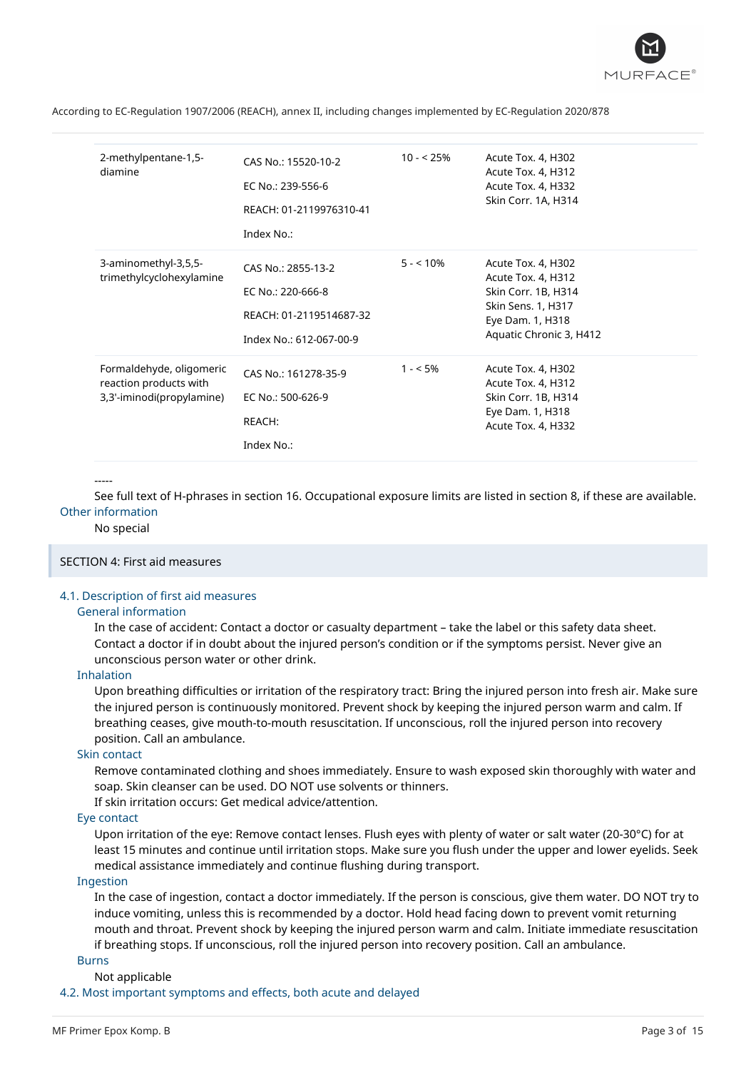

| 2-methylpentane-1,5-<br>diamine                                                 | CAS No.: 15520-10-2<br>EC No.: 239-556-6<br>REACH: 01-2119976310-41<br>Index No.:             | $10 - 25%$ | Acute Tox. 4, H302<br>Acute Tox. 4, H312<br>Acute Tox. 4, H332<br>Skin Corr. 1A, H314                                                |
|---------------------------------------------------------------------------------|-----------------------------------------------------------------------------------------------|------------|--------------------------------------------------------------------------------------------------------------------------------------|
| 3-aminomethyl-3,5,5-<br>trimethylcyclohexylamine                                | CAS No.: 2855-13-2<br>EC No.: 220-666-8<br>REACH: 01-2119514687-32<br>Index No.: 612-067-00-9 | $5 - 10%$  | Acute Tox. 4, H302<br>Acute Tox. 4, H312<br>Skin Corr. 1B, H314<br>Skin Sens. 1, H317<br>Eye Dam. 1, H318<br>Aquatic Chronic 3, H412 |
| Formaldehyde, oligomeric<br>reaction products with<br>3,3'-iminodi(propylamine) | CAS No.: 161278-35-9<br>EC No.: 500-626-9<br>REACH:<br>Index No.:                             | $1 - 5\%$  | Acute Tox. 4, H302<br>Acute Tox. 4, H312<br>Skin Corr. 1B, H314<br>Eye Dam. 1, H318<br>Acute Tox. 4, H332                            |

-----

See full text of H-phrases in section 16. Occupational exposure limits are listed in section 8, if these are available. Other information

#### No special

#### SECTION 4: First aid measures

#### 4.1. Description of first aid measures

#### General information

In the case of accident: Contact a doctor or casualty department – take the label or this safety data sheet. Contact a doctor if in doubt about the injured person's condition or if the symptoms persist. Never give an unconscious person water or other drink.

#### Inhalation

Upon breathing difficulties or irritation of the respiratory tract: Bring the injured person into fresh air. Make sure the injured person is continuously monitored. Prevent shock by keeping the injured person warm and calm. If breathing ceases, give mouth-to-mouth resuscitation. If unconscious, roll the injured person into recovery position. Call an ambulance.

# Skin contact

Remove contaminated clothing and shoes immediately. Ensure to wash exposed skin thoroughly with water and soap. Skin cleanser can be used. DO NOT use solvents or thinners.

If skin irritation occurs: Get medical advice/attention.

### Eye contact

Upon irritation of the eye: Remove contact lenses. Flush eyes with plenty of water or salt water (20-30°C) for at least 15 minutes and continue until irritation stops. Make sure you flush under the upper and lower eyelids. Seek medical assistance immediately and continue flushing during transport.

# Ingestion

In the case of ingestion, contact a doctor immediately. If the person is conscious, give them water. DO NOT try to induce vomiting, unless this is recommended by a doctor. Hold head facing down to prevent vomit returning mouth and throat. Prevent shock by keeping the injured person warm and calm. Initiate immediate resuscitation if breathing stops. If unconscious, roll the injured person into recovery position. Call an ambulance.

#### **Burns**

#### Not applicable

4.2. Most important symptoms and effects, both acute and delayed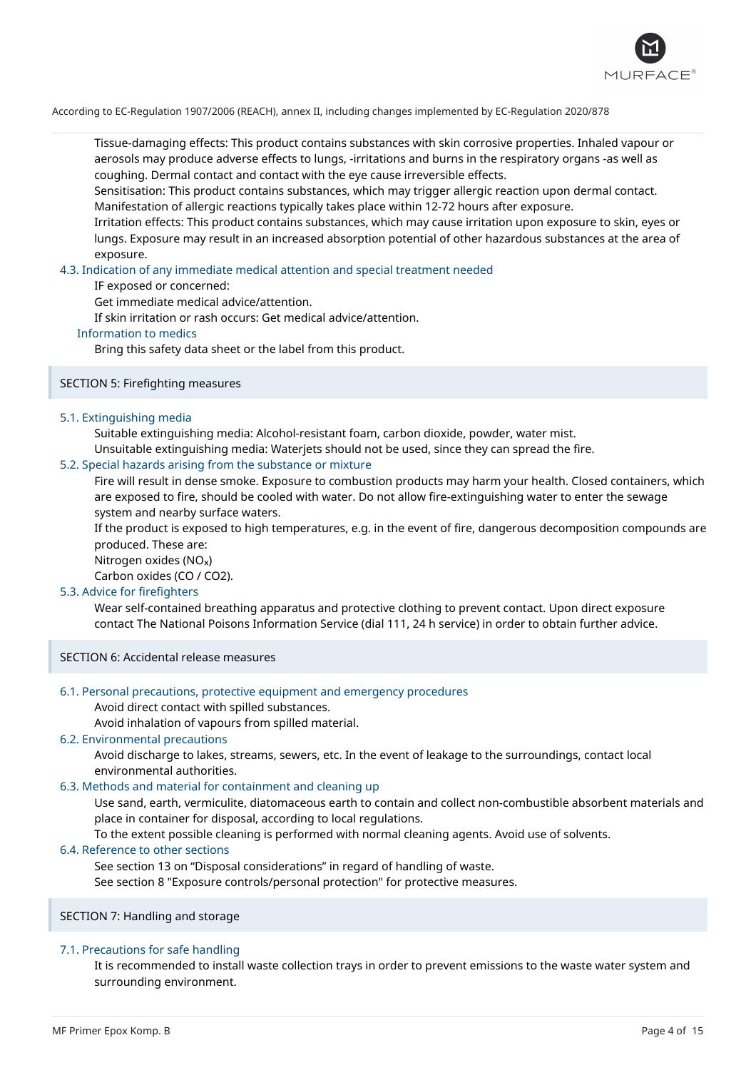

Tissue-damaging effects: This product contains substances with skin corrosive properties. Inhaled vapour or aerosols may produce adverse effects to lungs, -irritations and burns in the respiratory organs -as well as coughing. Dermal contact and contact with the eye cause irreversible effects.

Sensitisation: This product contains substances, which may trigger allergic reaction upon dermal contact. Manifestation of allergic reactions typically takes place within 12-72 hours after exposure.

Irritation effects: This product contains substances, which may cause irritation upon exposure to skin, eyes or lungs. Exposure may result in an increased absorption potential of other hazardous substances at the area of exposure.

#### 4.3. Indication of any immediate medical attention and special treatment needed

IF exposed or concerned:

Get immediate medical advice/attention.

If skin irritation or rash occurs: Get medical advice/attention.

#### Information to medics

Bring this safety data sheet or the label from this product.

#### SECTION 5: Firefighting measures

#### 5.1. Extinguishing media

Suitable extinguishing media: Alcohol-resistant foam, carbon dioxide, powder, water mist.

Unsuitable extinguishing media: Waterjets should not be used, since they can spread the fire.

# 5.2. Special hazards arising from the substance or mixture

Fire will result in dense smoke. Exposure to combustion products may harm your health. Closed containers, which are exposed to fire, should be cooled with water. Do not allow fire-extinguishing water to enter the sewage system and nearby surface waters.

If the product is exposed to high temperatures, e.g. in the event of fire, dangerous decomposition compounds are produced. These are:

Nitrogen oxides (NO<sub>x</sub>)

Carbon oxides (CO / CO2).

#### 5.3. Advice for firefighters

Wear self-contained breathing apparatus and protective clothing to prevent contact. Upon direct exposure contact The National Poisons Information Service (dial 111, 24 h service) in order to obtain further advice.

SECTION 6: Accidental release measures

#### 6.1. Personal precautions, protective equipment and emergency procedures

Avoid direct contact with spilled substances.

Avoid inhalation of vapours from spilled material.

#### 6.2. Environmental precautions

Avoid discharge to lakes, streams, sewers, etc. In the event of leakage to the surroundings, contact local environmental authorities.

### 6.3. Methods and material for containment and cleaning up

Use sand, earth, vermiculite, diatomaceous earth to contain and collect non-combustible absorbent materials and place in container for disposal, according to local regulations.

To the extent possible cleaning is performed with normal cleaning agents. Avoid use of solvents.

#### 6.4. Reference to other sections

See section 13 on "Disposal considerations" in regard of handling of waste.

See section 8 "Exposure controls/personal protection" for protective measures.

SECTION 7: Handling and storage

#### 7.1. Precautions for safe handling

It is recommended to install waste collection trays in order to prevent emissions to the waste water system and surrounding environment.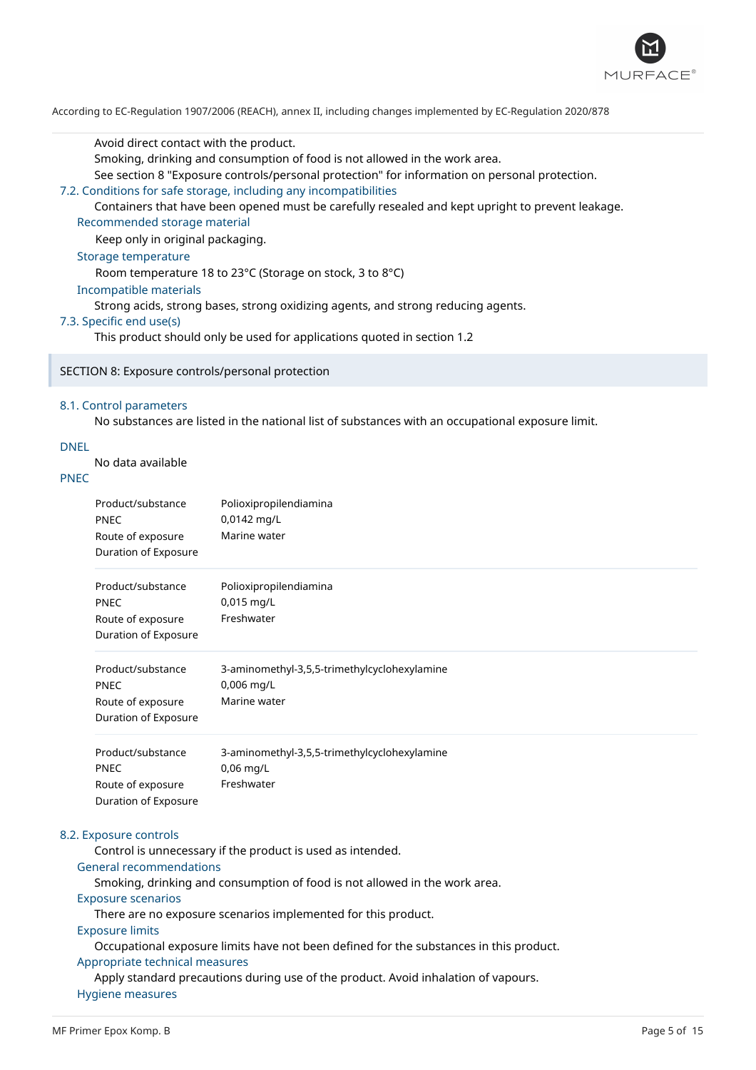

Avoid direct contact with the product.

Smoking, drinking and consumption of food is not allowed in the work area.

See section 8 "Exposure controls/personal protection" for information on personal protection.

#### 7.2. Conditions for safe storage, including any incompatibilities

Containers that have been opened must be carefully resealed and kept upright to prevent leakage.

Recommended storage material

Keep only in original packaging.

# Storage temperature

Room temperature 18 to 23°C (Storage on stock, 3 to 8°C)

#### Incompatible materials

Strong acids, strong bases, strong oxidizing agents, and strong reducing agents.

#### 7.3. Specific end use(s)

This product should only be used for applications quoted in section 1.2

#### SECTION 8: Exposure controls/personal protection

#### 8.1. Control parameters

No substances are listed in the national list of substances with an occupational exposure limit.

# DNEL

No data available

# PNEC

| Product/substance<br><b>PNEC</b><br>Route of exposure<br>Duration of Exposure | Polioxipropilendiamina<br>0,0142 mg/L<br>Marine water                      |  |
|-------------------------------------------------------------------------------|----------------------------------------------------------------------------|--|
| Product/substance<br><b>PNEC</b><br>Route of exposure<br>Duration of Exposure | Polioxipropilendiamina<br>$0,015$ mg/L<br>Freshwater                       |  |
| Product/substance<br><b>PNEC</b><br>Route of exposure<br>Duration of Exposure | 3-aminomethyl-3,5,5-trimethylcyclohexylamine<br>0,006 mg/L<br>Marine water |  |
| Product/substance<br><b>PNEC</b><br>Route of exposure<br>Duration of Exposure | 3-aminomethyl-3,5,5-trimethylcyclohexylamine<br>$0,06$ mg/L<br>Freshwater  |  |

#### 8.2. Exposure controls

Control is unnecessary if the product is used as intended.

#### General recommendations

Smoking, drinking and consumption of food is not allowed in the work area.

#### Exposure scenarios

There are no exposure scenarios implemented for this product.

#### Exposure limits

Occupational exposure limits have not been defined for the substances in this product. Appropriate technical measures

Apply standard precautions during use of the product. Avoid inhalation of vapours. Hygiene measures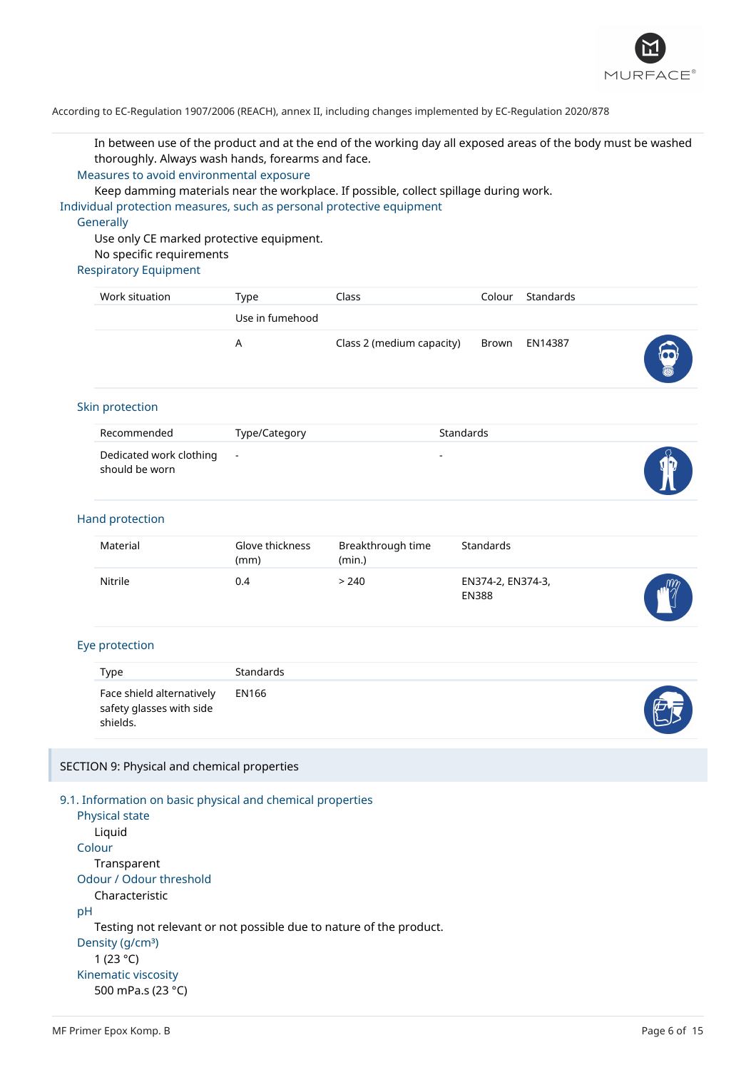

In between use of the product and at the end of the working day all exposed areas of the body must be washed thoroughly. Always wash hands, forearms and face.

#### Measures to avoid environmental exposure

Keep damming materials near the workplace. If possible, collect spillage during work.

Individual protection measures, such as personal protective equipment

#### **Generally**

Use only CE marked protective equipment. No specific requirements

# Respiratory Equipment

| Work situation | Type            | Class                     | Colour | Standards     |                        |
|----------------|-----------------|---------------------------|--------|---------------|------------------------|
|                | Use in fumehood |                           |        |               |                        |
|                | A               | Class 2 (medium capacity) |        | Brown EN14387 | $\widehat{\mathbf{z}}$ |

#### Skin protection

| Recommended                                 | Type/Category | Standards                |                      |
|---------------------------------------------|---------------|--------------------------|----------------------|
| Dedicated work clothing -<br>should be worn |               | $\overline{\phantom{a}}$ | $\sqrt{\frac{2}{v}}$ |

#### Hand protection

| Material | Glove thickness<br>(mm) | Breakthrough time<br>(min.) | Standards                         |           |
|----------|-------------------------|-----------------------------|-----------------------------------|-----------|
| Nitrile  | 0.4                     | > 240                       | EN374-2, EN374-3,<br><b>EN388</b> | $m\gamma$ |

#### Eye protection

| <b>Type</b>                                                       | <b>Standards</b> |   |
|-------------------------------------------------------------------|------------------|---|
| Face shield alternatively<br>safety glasses with side<br>shields. | EN166            | 西 |

#### SECTION 9: Physical and chemical properties

9.1. Information on basic physical and chemical properties Physical state Liquid Colour Transparent Odour / Odour threshold Characteristic pH Testing not relevant or not possible due to nature of the product. Density (g/cm<sup>3</sup>) 1 (23 °C) Kinematic viscosity 500 mPa.s (23 °C)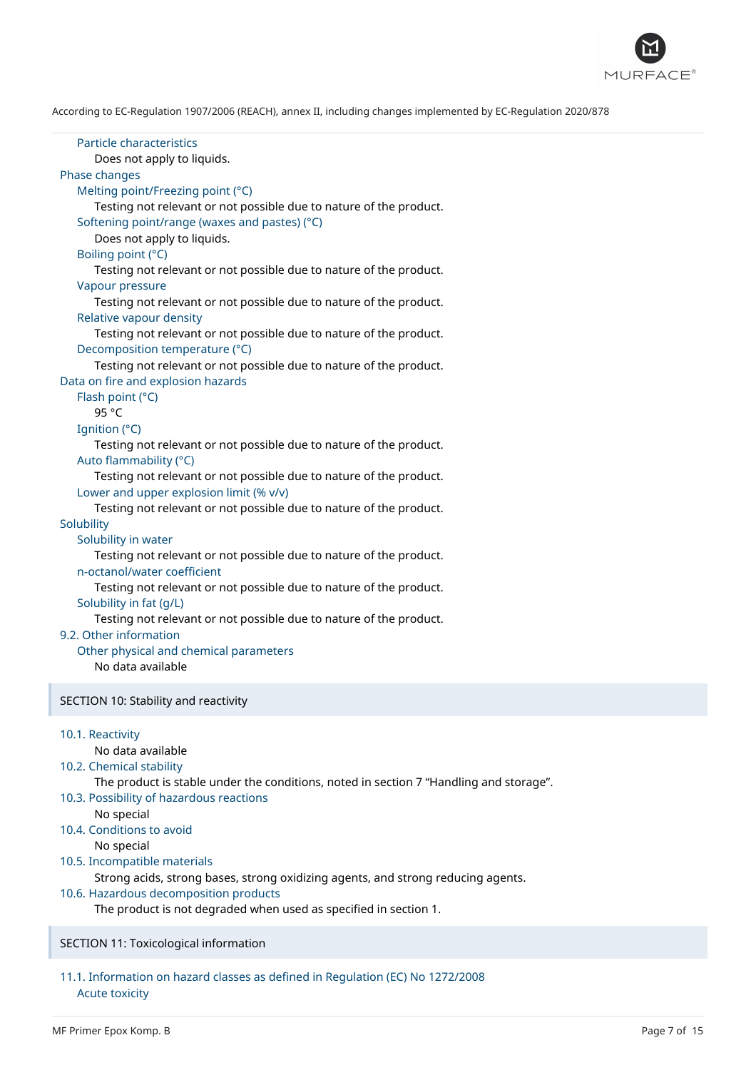

| Particle characteristics<br>Does not apply to liquids.<br>Phase changes<br>Melting point/Freezing point (°C)<br>Testing not relevant or not possible due to nature of the product.<br>Softening point/range (waxes and pastes) (°C)<br>Does not apply to liquids.<br>Boiling point (°C)<br>Testing not relevant or not possible due to nature of the product.<br>Vapour pressure<br>Testing not relevant or not possible due to nature of the product.<br>Relative vapour density<br>Testing not relevant or not possible due to nature of the product.<br>Decomposition temperature (°C)                                                                                                                      |
|----------------------------------------------------------------------------------------------------------------------------------------------------------------------------------------------------------------------------------------------------------------------------------------------------------------------------------------------------------------------------------------------------------------------------------------------------------------------------------------------------------------------------------------------------------------------------------------------------------------------------------------------------------------------------------------------------------------|
| Testing not relevant or not possible due to nature of the product.<br>Data on fire and explosion hazards<br>Flash point (°C)<br>95 °C                                                                                                                                                                                                                                                                                                                                                                                                                                                                                                                                                                          |
| Ignition (°C)<br>Testing not relevant or not possible due to nature of the product.<br>Auto flammability (°C)<br>Testing not relevant or not possible due to nature of the product.<br>Lower and upper explosion limit (% v/v)<br>Testing not relevant or not possible due to nature of the product.<br>Solubility<br>Solubility in water<br>Testing not relevant or not possible due to nature of the product.<br>n-octanol/water coefficient<br>Testing not relevant or not possible due to nature of the product.<br>Solubility in fat (g/L)<br>Testing not relevant or not possible due to nature of the product.<br>9.2. Other information<br>Other physical and chemical parameters<br>No data available |
| SECTION 10: Stability and reactivity                                                                                                                                                                                                                                                                                                                                                                                                                                                                                                                                                                                                                                                                           |
| 10.1. Reactivity<br>No data available<br>10.2. Chemical stability<br>The product is stable under the conditions, noted in section 7 "Handling and storage".<br>10.3. Possibility of hazardous reactions<br>No special<br>10.4. Conditions to avoid<br>No special<br>10.5. Incompatible materials<br>Strong acids, strong bases, strong oxidizing agents, and strong reducing agents.<br>10.6. Hazardous decomposition products<br>The product is not degraded when used as specified in section 1.                                                                                                                                                                                                             |
|                                                                                                                                                                                                                                                                                                                                                                                                                                                                                                                                                                                                                                                                                                                |

# SECTION 11: Toxicological information

# 11.1. Information on hazard classes as defined in Regulation (EC) No 1272/2008 Acute toxicity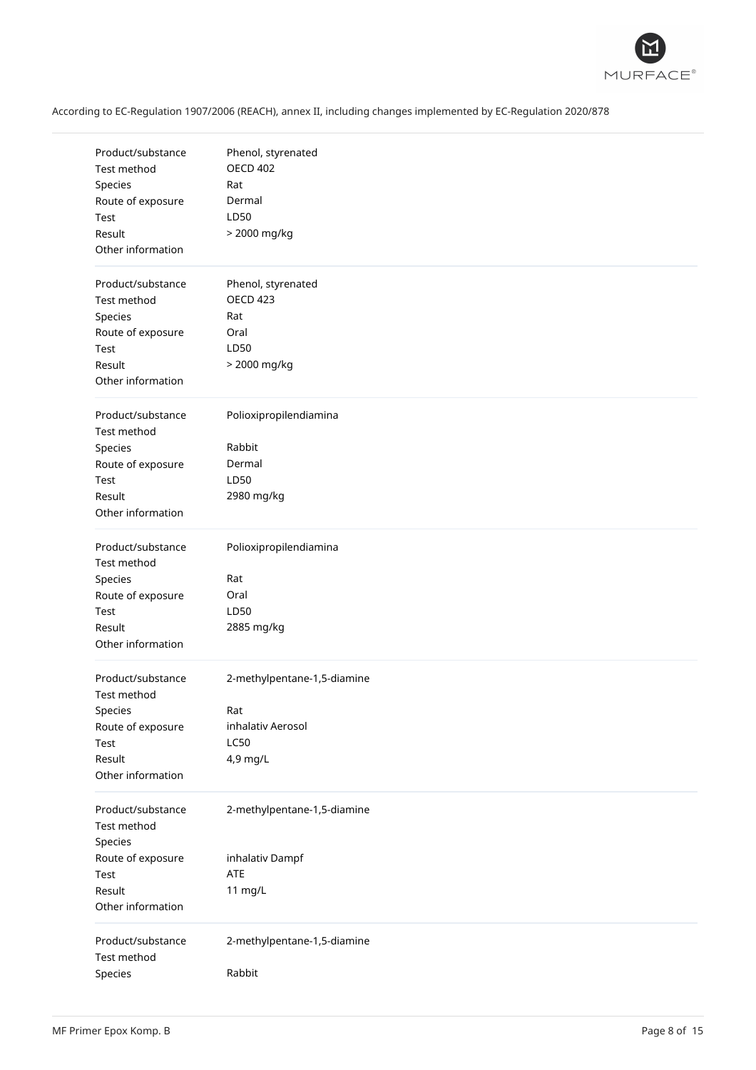

| Product/substance<br>Test method<br>Species<br>Route of exposure<br>Test<br>Result<br>Other information | Phenol, styrenated<br><b>OECD 402</b><br>Rat<br>Dermal<br>LD50<br>> 2000 mg/kg     |
|---------------------------------------------------------------------------------------------------------|------------------------------------------------------------------------------------|
| Product/substance<br>Test method<br>Species<br>Route of exposure<br>Test<br>Result<br>Other information | Phenol, styrenated<br><b>OECD 423</b><br>Rat<br>Oral<br>LD50<br>> 2000 mg/kg       |
| Product/substance<br>Test method<br>Species<br>Route of exposure<br>Test<br>Result<br>Other information | Polioxipropilendiamina<br>Rabbit<br>Dermal<br>LD50<br>2980 mg/kg                   |
| Product/substance<br>Test method<br>Species<br>Route of exposure<br>Test<br>Result<br>Other information | Polioxipropilendiamina<br>Rat<br>Oral<br>LD50<br>2885 mg/kg                        |
| Product/substance<br>Test method<br>Species<br>Route of exposure<br>Test<br>Result<br>Other information | 2-methylpentane-1,5-diamine<br>Rat<br>inhalativ Aerosol<br><b>LC50</b><br>4,9 mg/L |
| Product/substance<br>Test method<br>Species<br>Route of exposure<br>Test<br>Result<br>Other information | 2-methylpentane-1,5-diamine<br>inhalativ Dampf<br>ATE<br>11 mg/L                   |
| Product/substance<br>Test method<br>Species                                                             | 2-methylpentane-1,5-diamine<br>Rabbit                                              |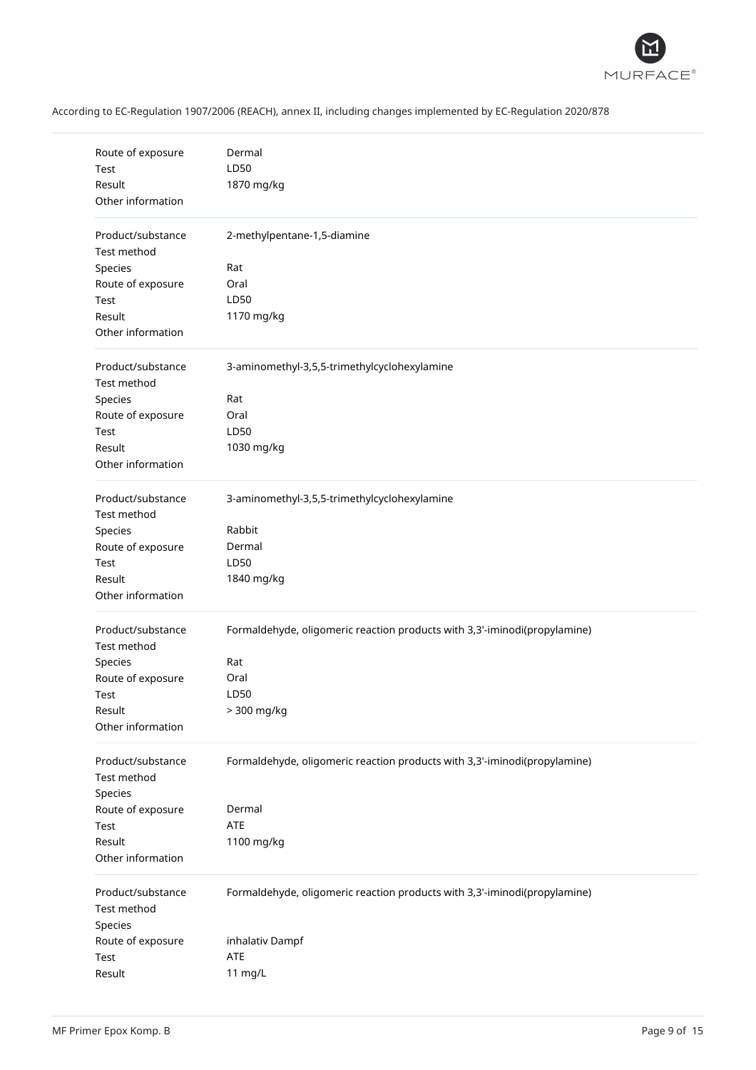

| Route of exposure<br>Test<br>Result<br>Other information                                                | Dermal<br>LD50<br>1870 mg/kg                                                                                          |
|---------------------------------------------------------------------------------------------------------|-----------------------------------------------------------------------------------------------------------------------|
| Product/substance<br>Test method<br>Species<br>Route of exposure<br>Test<br>Result<br>Other information | 2-methylpentane-1,5-diamine<br>Rat<br>Oral<br>LD50<br>1170 mg/kg                                                      |
| Product/substance<br>Test method<br>Species<br>Route of exposure<br>Test<br>Result<br>Other information | 3-aminomethyl-3,5,5-trimethylcyclohexylamine<br>Rat<br>Oral<br>LD50<br>1030 mg/kg                                     |
| Product/substance<br>Test method<br>Species<br>Route of exposure<br>Test<br>Result<br>Other information | 3-aminomethyl-3,5,5-trimethylcyclohexylamine<br>Rabbit<br>Dermal<br>LD50<br>1840 mg/kg                                |
| Product/substance<br>Test method<br>Species<br>Route of exposure<br>Test<br>Result<br>Other information | Formaldehyde, oligomeric reaction products with 3,3'-iminodi(propylamine)<br>Rat<br>Oral<br>LD50<br>> 300 mg/kg       |
| Product/substance<br>Test method<br>Species<br>Route of exposure<br>Test<br>Result<br>Other information | Formaldehyde, oligomeric reaction products with 3,3'-iminodi(propylamine)<br>Dermal<br>ATE<br>1100 mg/kg              |
| Product/substance<br>Test method<br>Species<br>Route of exposure<br>Test<br>Result                      | Formaldehyde, oligomeric reaction products with 3,3'-iminodi(propylamine)<br>inhalativ Dampf<br><b>ATE</b><br>11 mg/L |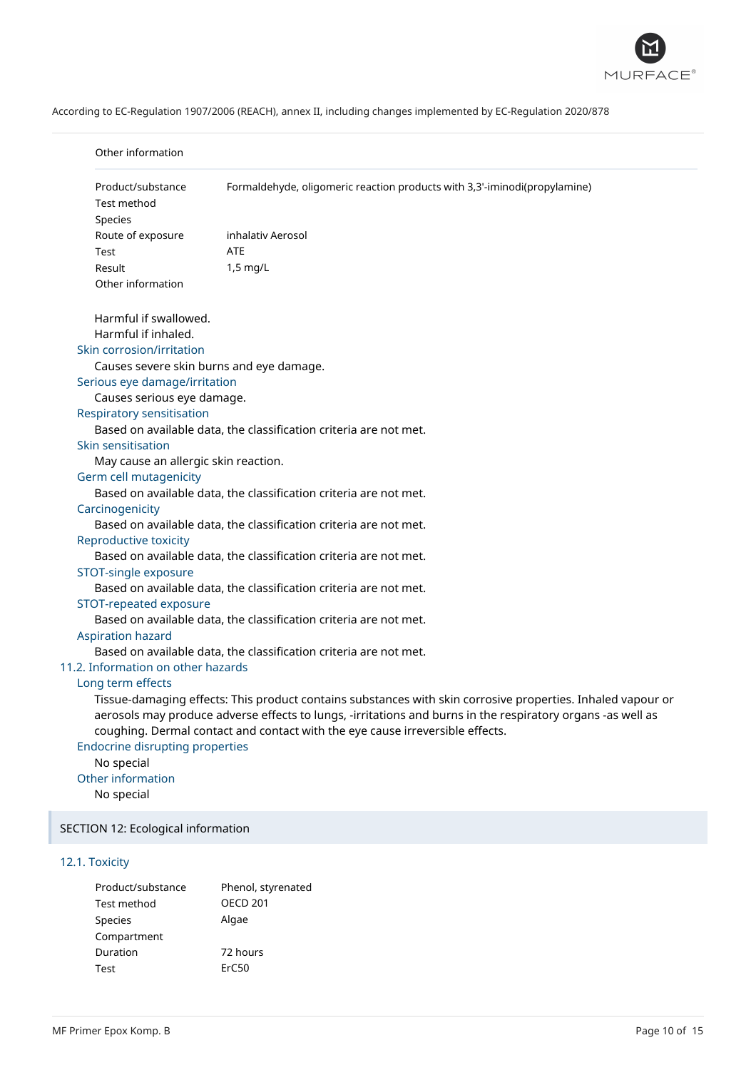

| Product/substance                      | Formaldehyde, oligomeric reaction products with 3,3'-iminodi(propylamine)                                                                                                                                                  |
|----------------------------------------|----------------------------------------------------------------------------------------------------------------------------------------------------------------------------------------------------------------------------|
| Test method                            |                                                                                                                                                                                                                            |
| Species                                |                                                                                                                                                                                                                            |
| Route of exposure                      | inhalativ Aerosol                                                                                                                                                                                                          |
| Test                                   | <b>ATE</b>                                                                                                                                                                                                                 |
| Result                                 | 1,5 mg/L                                                                                                                                                                                                                   |
| Other information                      |                                                                                                                                                                                                                            |
| Harmful if swallowed.                  |                                                                                                                                                                                                                            |
| Harmful if inhaled.                    |                                                                                                                                                                                                                            |
| Skin corrosion/irritation              |                                                                                                                                                                                                                            |
|                                        | Causes severe skin burns and eye damage.                                                                                                                                                                                   |
| Serious eye damage/irritation          |                                                                                                                                                                                                                            |
| Causes serious eye damage.             |                                                                                                                                                                                                                            |
| <b>Respiratory sensitisation</b>       |                                                                                                                                                                                                                            |
| Skin sensitisation                     | Based on available data, the classification criteria are not met.                                                                                                                                                          |
| May cause an allergic skin reaction.   |                                                                                                                                                                                                                            |
| Germ cell mutagenicity                 |                                                                                                                                                                                                                            |
|                                        | Based on available data, the classification criteria are not met.                                                                                                                                                          |
| Carcinogenicity                        |                                                                                                                                                                                                                            |
|                                        | Based on available data, the classification criteria are not met.                                                                                                                                                          |
| Reproductive toxicity                  |                                                                                                                                                                                                                            |
|                                        | Based on available data, the classification criteria are not met.                                                                                                                                                          |
| STOT-single exposure                   |                                                                                                                                                                                                                            |
|                                        | Based on available data, the classification criteria are not met.                                                                                                                                                          |
| STOT-repeated exposure                 |                                                                                                                                                                                                                            |
|                                        | Based on available data, the classification criteria are not met.                                                                                                                                                          |
| Aspiration hazard                      |                                                                                                                                                                                                                            |
|                                        | Based on available data, the classification criteria are not met.                                                                                                                                                          |
| 11.2. Information on other hazards     |                                                                                                                                                                                                                            |
| Long term effects                      | Tissue-damaging effects: This product contains substances with skin corrosive properties. Inhaled vapour or<br>aerosols may produce adverse effects to lungs, -irritations and burns in the respiratory organs -as well as |
|                                        | coughing. Dermal contact and contact with the eye cause irreversible effects.                                                                                                                                              |
| <b>Endocrine disrupting properties</b> |                                                                                                                                                                                                                            |
| No special                             |                                                                                                                                                                                                                            |
| Other information<br>No special        |                                                                                                                                                                                                                            |
| SECTION 12: Ecological information     |                                                                                                                                                                                                                            |
|                                        |                                                                                                                                                                                                                            |

# 12.1. Toxicity

| Product/substance | Phenol, styrenated |
|-------------------|--------------------|
| Test method       | <b>OECD 201</b>    |
| <b>Species</b>    | Algae              |
| Compartment       |                    |
| Duration          | 72 hours           |
| Test              | ErC50              |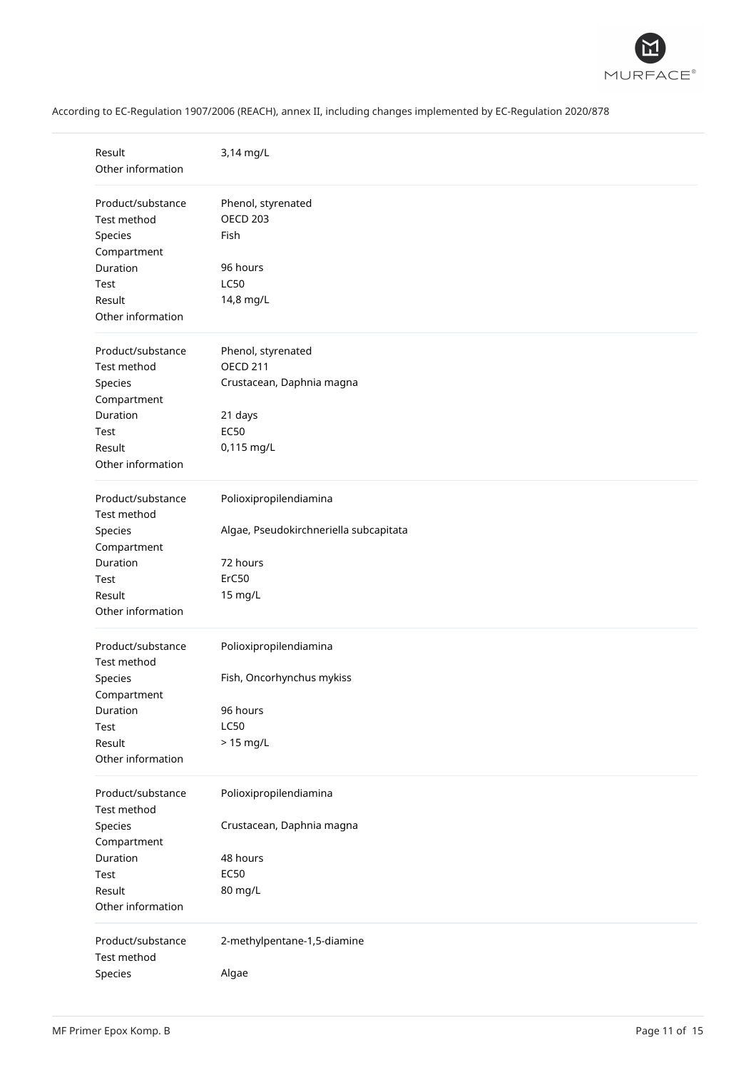

| Result<br>Other information      | 3,14 mg/L                              |
|----------------------------------|----------------------------------------|
| Product/substance                | Phenol, styrenated                     |
| Test method                      | <b>OECD 203</b>                        |
| Species                          | Fish                                   |
| Compartment                      |                                        |
| Duration                         | 96 hours                               |
| Test                             | <b>LC50</b>                            |
| Result                           | 14,8 mg/L                              |
| Other information                |                                        |
| Product/substance                | Phenol, styrenated                     |
| Test method                      | <b>OECD 211</b>                        |
| Species                          | Crustacean, Daphnia magna              |
| Compartment                      |                                        |
| Duration                         | 21 days                                |
| Test                             | <b>EC50</b>                            |
| Result                           | 0,115 mg/L                             |
| Other information                |                                        |
| Product/substance                | Polioxipropilendiamina                 |
| Test method                      |                                        |
| Species                          | Algae, Pseudokirchneriella subcapitata |
| Compartment                      |                                        |
| Duration                         | 72 hours                               |
| Test                             | ErC50                                  |
| Result                           | 15 mg/L                                |
| Other information                |                                        |
| Product/substance                | Polioxipropilendiamina                 |
| Test method                      |                                        |
| Species                          | Fish, Oncorhynchus mykiss              |
| Compartment                      |                                        |
| Duration                         | 96 hours                               |
| Test                             | <b>LC50</b>                            |
| Result                           | $> 15$ mg/L                            |
| Other information                |                                        |
| Product/substance                | Polioxipropilendiamina                 |
| Test method                      |                                        |
| Species                          | Crustacean, Daphnia magna              |
| Compartment                      |                                        |
| Duration                         | 48 hours                               |
| Test                             | <b>EC50</b>                            |
| Result                           | 80 mg/L                                |
| Other information                |                                        |
| Product/substance<br>Test method | 2-methylpentane-1,5-diamine            |
| Species                          | Algae                                  |
|                                  |                                        |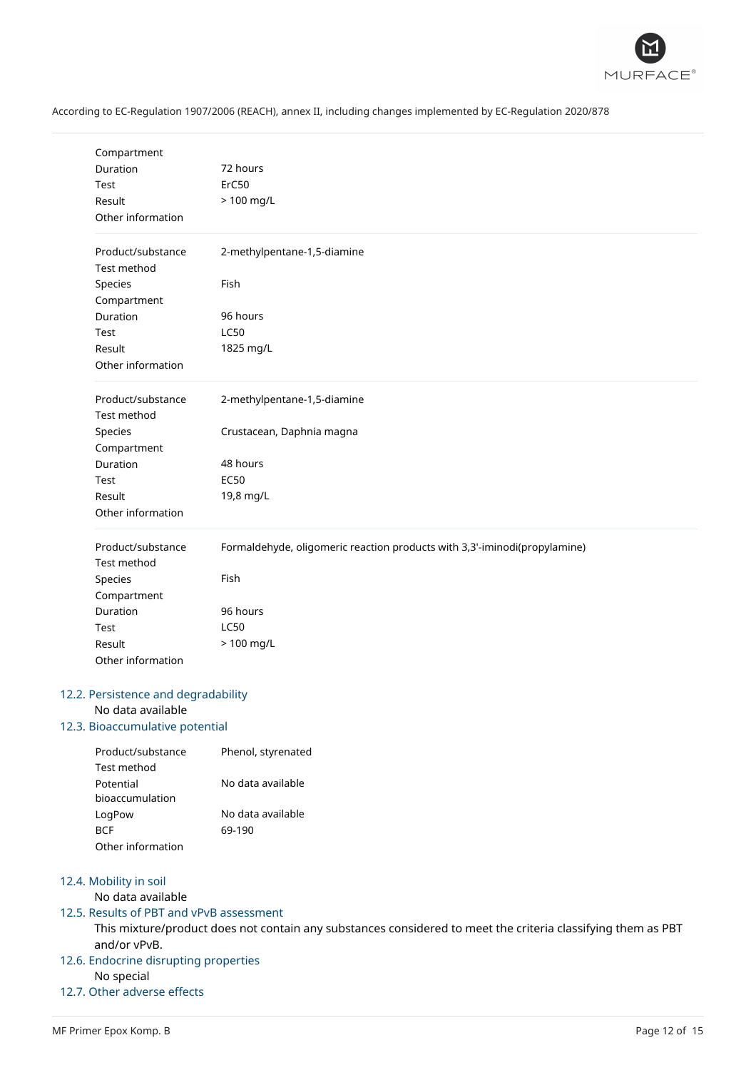

| Compartment                              |                                                                           |  |  |
|------------------------------------------|---------------------------------------------------------------------------|--|--|
| Duration                                 | 72 hours                                                                  |  |  |
| Test                                     | ErC50                                                                     |  |  |
| Result                                   | > 100 mg/L                                                                |  |  |
| Other information                        |                                                                           |  |  |
| Product/substance<br>Test method         | 2-methylpentane-1,5-diamine                                               |  |  |
| Species                                  | Fish                                                                      |  |  |
| Compartment                              |                                                                           |  |  |
| Duration                                 | 96 hours                                                                  |  |  |
| Test                                     | <b>LC50</b>                                                               |  |  |
| Result                                   | 1825 mg/L                                                                 |  |  |
| Other information                        |                                                                           |  |  |
| Product/substance<br>Test method         | 2-methylpentane-1,5-diamine                                               |  |  |
| Species                                  | Crustacean, Daphnia magna                                                 |  |  |
| Compartment                              |                                                                           |  |  |
| Duration                                 | 48 hours                                                                  |  |  |
| Test                                     | <b>EC50</b>                                                               |  |  |
| Result                                   | 19,8 mg/L                                                                 |  |  |
| Other information                        |                                                                           |  |  |
| Product/substance<br>Test method         | Formaldehyde, oligomeric reaction products with 3,3'-iminodi(propylamine) |  |  |
| Species                                  | Fish                                                                      |  |  |
| Compartment                              |                                                                           |  |  |
| Duration                                 | 96 hours                                                                  |  |  |
| Test                                     | <b>LC50</b>                                                               |  |  |
| Result                                   | > 100 mg/L                                                                |  |  |
| Other information                        |                                                                           |  |  |
| 12.2. Persistence and degradability      |                                                                           |  |  |
| No data available                        |                                                                           |  |  |
| 12.3. Bioaccumulative potential          |                                                                           |  |  |
| Product/substance                        | Phenol, styrenated                                                        |  |  |
| Test method                              |                                                                           |  |  |
| Potential                                | No data available                                                         |  |  |
| bioaccumulation                          |                                                                           |  |  |
| LogPow                                   | No data available                                                         |  |  |
| <b>BCF</b>                               | 69-190                                                                    |  |  |
| Other information                        |                                                                           |  |  |
| 12.4. Mobility in soil                   |                                                                           |  |  |
| No data available                        |                                                                           |  |  |
| 12.5. Results of PBT and vPvB assessment |                                                                           |  |  |
|                                          |                                                                           |  |  |

This mixture/product does not contain any substances considered to meet the criteria classifying them as PBT and/or vPvB.

# 12.6. Endocrine disrupting properties

No special

# 12.7. Other adverse effects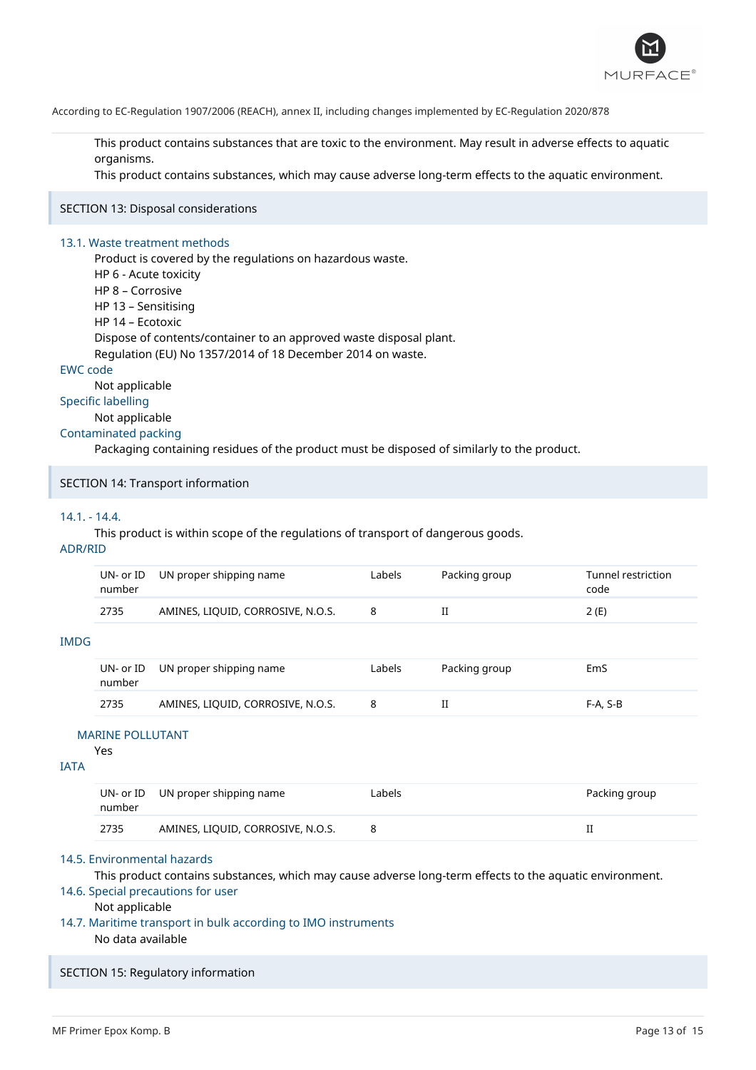

This product contains substances that are toxic to the environment. May result in adverse effects to aquatic organisms.

This product contains substances, which may cause adverse long-term effects to the aquatic environment.

#### SECTION 13: Disposal considerations

#### 13.1. Waste treatment methods

Product is covered by the regulations on hazardous waste. HP 6 - Acute toxicity HP 8 – Corrosive HP 13 – Sensitising HP 14 – Ecotoxic Dispose of contents/container to an approved waste disposal plant. Regulation (EU) No 1357/2014 of 18 December 2014 on waste.

#### EWC code

Not applicable

# Specific labelling

Not applicable

# Contaminated packing

Packaging containing residues of the product must be disposed of similarly to the product.

#### SECTION 14: Transport information

#### 14.1. - 14.4.

This product is within scope of the regulations of transport of dangerous goods.

### ADR/RID

| UN- or ID<br>number | UN proper shipping name           | Labels | Packing group | Tunnel restriction<br>code |
|---------------------|-----------------------------------|--------|---------------|----------------------------|
| 2735                | AMINES, LIQUID, CORROSIVE, N.O.S. |        |               | 2 (E)                      |

#### IMDG

| number | UN- or ID UN proper shipping name | Labels | Packing group | EmS        |
|--------|-----------------------------------|--------|---------------|------------|
| 2735   | AMINES, LIQUID, CORROSIVE, N.O.S. |        |               | $F-A. S-B$ |

#### MARINE POLLUTANT

#### Yes

#### IATA

| number | UN- or ID UN proper shipping name | ∟abels | Packing group |
|--------|-----------------------------------|--------|---------------|
| 2735   | AMINES, LIQUID, CORROSIVE, N.O.S. |        |               |

#### 14.5. Environmental hazards

This product contains substances, which may cause adverse long-term effects to the aquatic environment.

#### 14.6. Special precautions for user

# Not applicable

14.7. Maritime transport in bulk according to IMO instruments No data available

#### SECTION 15: Regulatory information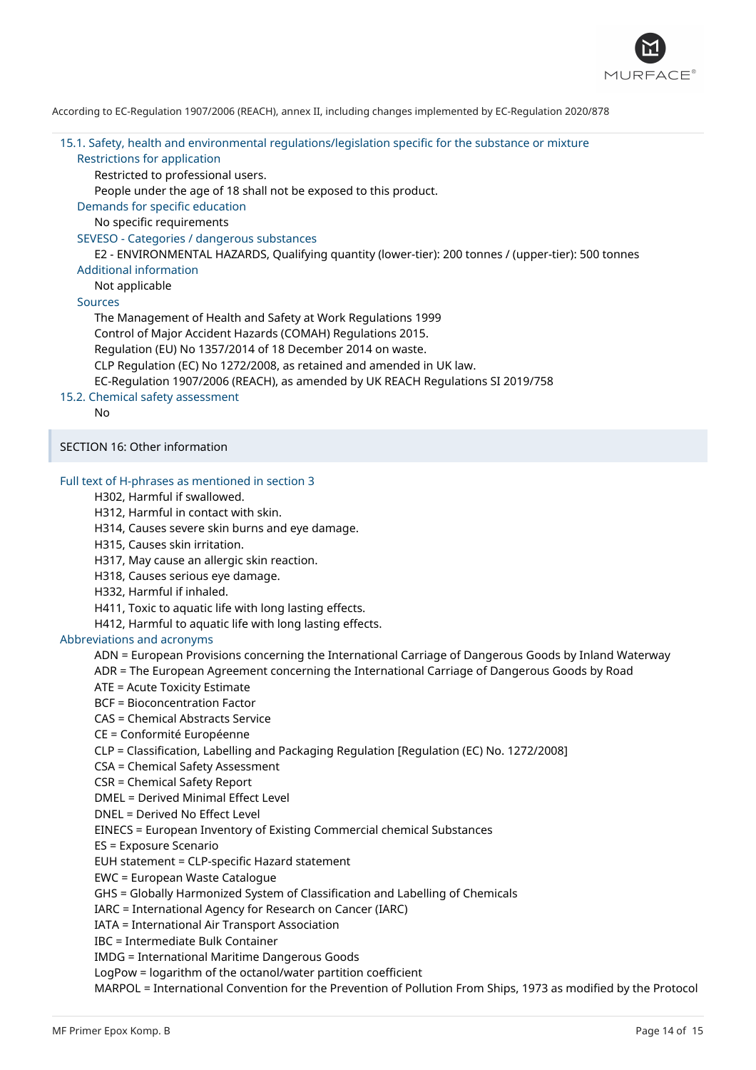

# 15.1. Safety, health and environmental regulations/legislation specific for the substance or mixture Restrictions for application Restricted to professional users.

People under the age of 18 shall not be exposed to this product.

Demands for specific education

No specific requirements

#### SEVESO - Categories / dangerous substances

E2 - ENVIRONMENTAL HAZARDS, Qualifying quantity (lower-tier): 200 tonnes / (upper-tier): 500 tonnes Additional information

#### Not applicable

### Sources

The Management of Health and Safety at Work Regulations 1999 Control of Major Accident Hazards (COMAH) Regulations 2015. Regulation (EU) No 1357/2014 of 18 December 2014 on waste. CLP Regulation (EC) No 1272/2008, as retained and amended in UK law. EC-Regulation 1907/2006 (REACH), as amended by UK REACH Regulations SI 2019/758

# 15.2. Chemical safety assessment

No

SECTION 16: Other information

### Full text of H-phrases as mentioned in section 3

H302, Harmful if swallowed.

H312, Harmful in contact with skin.

H314, Causes severe skin burns and eye damage.

H315, Causes skin irritation.

H317, May cause an allergic skin reaction.

H318, Causes serious eye damage.

H332, Harmful if inhaled.

H411, Toxic to aquatic life with long lasting effects.

H412, Harmful to aquatic life with long lasting effects.

#### Abbreviations and acronyms

ADN = European Provisions concerning the International Carriage of Dangerous Goods by Inland Waterway

ADR = The European Agreement concerning the International Carriage of Dangerous Goods by Road

ATE = Acute Toxicity Estimate

BCF = Bioconcentration Factor

CAS = Chemical Abstracts Service

CE = Conformité Européenne

CLP = Classification, Labelling and Packaging Regulation [Regulation (EC) No. 1272/2008]

CSA = Chemical Safety Assessment

CSR = Chemical Safety Report

DMEL = Derived Minimal Effect Level

DNEL = Derived No Effect Level

EINECS = European Inventory of Existing Commercial chemical Substances

ES = Exposure Scenario

EUH statement = CLP-specific Hazard statement

EWC = European Waste Catalogue

GHS = Globally Harmonized System of Classification and Labelling of Chemicals

IARC = International Agency for Research on Cancer (IARC)

IATA = International Air Transport Association

IBC = Intermediate Bulk Container

IMDG = International Maritime Dangerous Goods

LogPow = logarithm of the octanol/water partition coefficient

MARPOL = International Convention for the Prevention of Pollution From Ships, 1973 as modified by the Protocol